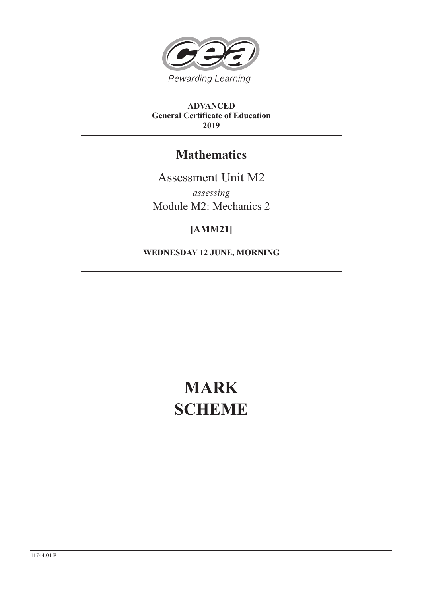

**ADVANCED General Certificate of Education 2019**

## **Mathematics**

Assessment Unit M2 *assessing* Module M2: Mechanics 2

## **[AMM21]**

**WEDNESDAY 12 JUNE, MORNING**

# **MARK SCHEME**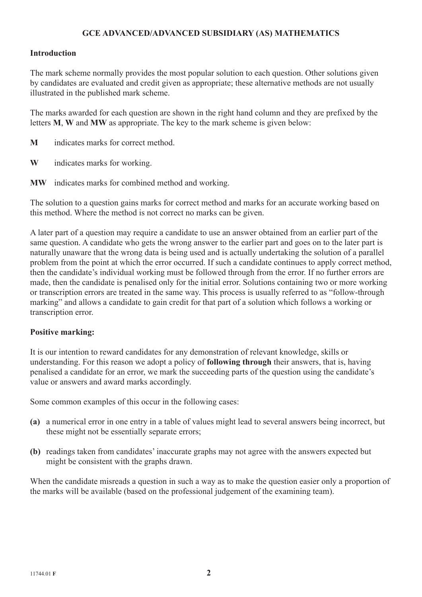#### **GCE ADVANCED/ADVANCED SUBSIDIARY (AS) MATHEMATICS**

#### **Introduction**

The mark scheme normally provides the most popular solution to each question. Other solutions given by candidates are evaluated and credit given as appropriate; these alternative methods are not usually illustrated in the published mark scheme.

The marks awarded for each question are shown in the right hand column and they are prefixed by the letters **M**, **W** and **MW** as appropriate. The key to the mark scheme is given below:

- **M** indicates marks for correct method.
- **W** indicates marks for working.
- **MW** indicates marks for combined method and working.

The solution to a question gains marks for correct method and marks for an accurate working based on this method. Where the method is not correct no marks can be given.

A later part of a question may require a candidate to use an answer obtained from an earlier part of the same question. A candidate who gets the wrong answer to the earlier part and goes on to the later part is naturally unaware that the wrong data is being used and is actually undertaking the solution of a parallel problem from the point at which the error occurred. If such a candidate continues to apply correct method, then the candidate's individual working must be followed through from the error. If no further errors are made, then the candidate is penalised only for the initial error. Solutions containing two or more working or transcription errors are treated in the same way. This process is usually referred to as "follow-through marking" and allows a candidate to gain credit for that part of a solution which follows a working or transcription error.

#### **Positive marking:**

It is our intention to reward candidates for any demonstration of relevant knowledge, skills or understanding. For this reason we adopt a policy of **following through** their answers, that is, having penalised a candidate for an error, we mark the succeeding parts of the question using the candidate's value or answers and award marks accordingly.

Some common examples of this occur in the following cases:

- **(a)** a numerical error in one entry in a table of values might lead to several answers being incorrect, but these might not be essentially separate errors;
- **(b)** readings taken from candidates' inaccurate graphs may not agree with the answers expected but might be consistent with the graphs drawn.

When the candidate misreads a question in such a way as to make the question easier only a proportion of the marks will be available (based on the professional judgement of the examining team).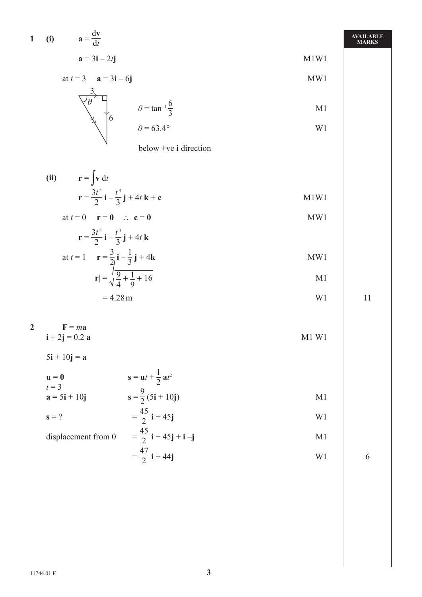1 (i) 
$$
\mathbf{a} = \frac{\mathrm{d}\mathbf{v}}{\mathrm{d}t}
$$
  
 $\mathbf{a} = 3\mathbf{i} - 2t\mathbf{j}$  M1W1

$$
at t = 3 \qquad a = 3i - 6j \qquad \qquad \text{MW1}
$$

$$
\begin{array}{c}\n\mathbf{3} \\
\hline\n\theta\n\end{array}\n\qquad\n\begin{array}{c}\n\theta = \tan^{-1} \frac{6}{3} \\
\theta = 63.4^{\circ}\n\end{array}\n\qquad\n\begin{array}{c}\n\text{M1} \\
\text{W2}\n\end{array}
$$

below +ve **i** direction

(ii) 
$$
\mathbf{r} = \int \mathbf{v} dt
$$
  
\n $\mathbf{r} = \frac{3t^2}{2} \mathbf{i} - \frac{t^3}{3} \mathbf{j} + 4t \mathbf{k} + \mathbf{c}$   
\n $\mathbf{r} = \mathbf{r} - \mathbf{r} = \mathbf{r} - \mathbf{r}$ 

$$
\mathbf{r} = \frac{3t^2}{2}\mathbf{i} - \frac{t^3}{3}\mathbf{j} + 4t\mathbf{k}
$$

at 
$$
t = 1
$$
  $\mathbf{r} = \frac{3}{2j}\mathbf{i} - \frac{1}{3}\mathbf{j} + 4\mathbf{k}$   
\n $|\mathbf{r}| = \frac{1}{\sqrt{\frac{9}{4}} + \frac{1}{9} + 16}$ 

$$
=4.28\,\mathrm{m}
$$

$$
P = ma
$$
  

$$
i + 2j = 0.2 a
$$

 $5i + 10j = a$ 

$$
\begin{array}{ll}\n\mathbf{u} = \mathbf{0} & \mathbf{s} = \mathbf{u}t + \frac{1}{2} \mathbf{a}t^2 \\
t = 3 & \mathbf{a} = 5\mathbf{i} + 10\mathbf{j} & \mathbf{s} = \frac{9}{2}(5\mathbf{i} + 10\mathbf{j}) & \text{M1} \\
\mathbf{s} = ? & = \frac{45}{2}\mathbf{i} + 45\mathbf{j} & \text{W1}\n\end{array}
$$

displacement from 0 
$$
= \frac{45}{2} \mathbf{i} + 45 \mathbf{j} + \mathbf{i} - \mathbf{j}
$$
 M1
$$
= \frac{47}{2} \mathbf{i} + 44 \mathbf{j}
$$
 W1 6

**AVAILABLE MARKS**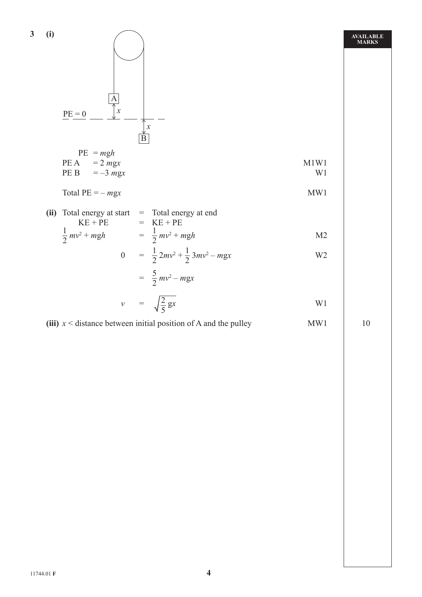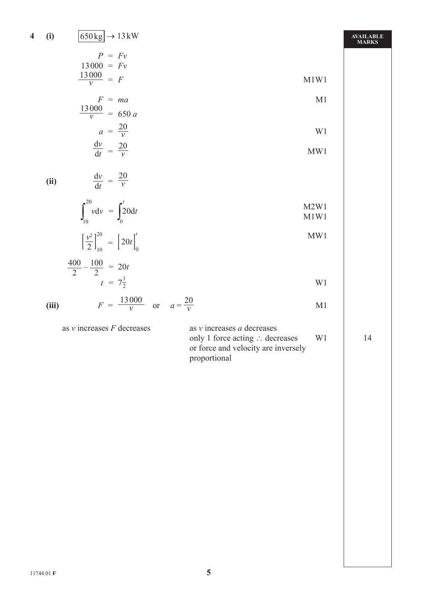### 4 (i)  $\sqrt{650 \text{ kg}}$  + 13 kW

| $P = Fv$              |      |
|-----------------------|------|
| $13000 = Fv$          |      |
| $\frac{13000}{v} = F$ | M1W1 |
|                       |      |

$$
F = ma
$$
   
\n
$$
\frac{13000}{v} = 650 a
$$
   
\n
$$
a = \frac{20}{v}
$$
   
\n
$$
\frac{dv}{dt} = \frac{20}{v}
$$
   
\n
$$
MW1
$$

$$
\frac{dV}{dt} = \frac{20}{V}
$$
 MW1

**(ii)**  $\frac{dv}{dt} = \frac{20}{v}$ 

$$
\int_{10}^{20} v \mathrm{d}v = \int_{0}^{t} 20 \mathrm{d}t \qquad \qquad \text{M2W1} \qquad \text{M1W1}
$$

$$
\left[\frac{\nu^2}{2}\right]_{10}^{20} = \left[20t\right]_0^t
$$
 MW1

$$
\frac{400}{2} - \frac{100}{2} = 20t
$$
  

$$
t = 7\frac{1}{2}
$$
 W1

(iii) 
$$
F = \frac{13000}{v}
$$
 or  $a = \frac{20}{v}$ 

as *v* increases *F* decreases as *v* increases *a* decreases

*v*

only 1 force acting  $\therefore$  decreases W1 14 or force and velocity are inversely proportional

 $\frac{20}{V}$  M1

**AVAILABLE MARKS**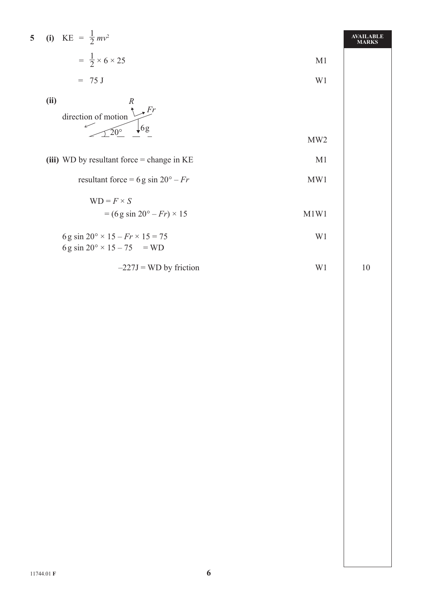5 (i) KE = 
$$
\frac{1}{2}mv^2
$$
  
\n=  $\frac{1}{2} \times 6 \times 25$   
\n= 75 J  
\n(ii)  
\n $\frac{R}{20^\circ}$  6g  
\n(iii) WD by resultant force = change in KE  
\nresultant force = 6g sin 20° - Fr  
\nWD =  $F \times S$   
\n= (6g sin 20° - Fr) × 15  
\n $MW1$   
\n $MW1$   
\n $MW1$   
\n $MW1$   
\n $MW1$   
\n $MW1$   
\n $MW1$   
\n $MW1$   
\n $MW1$   
\n $MW1$ 

6 g sin 20° × 15 – 
$$
Fr
$$
 × 15 = 75  
\n6 g sin 20° × 15 – 75 = WD  
\n-227J = WD by friction  
\nW1  
\n10

**5 (i)** KE *=*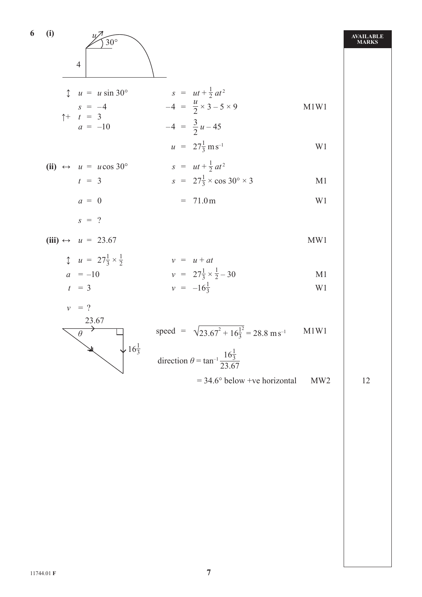